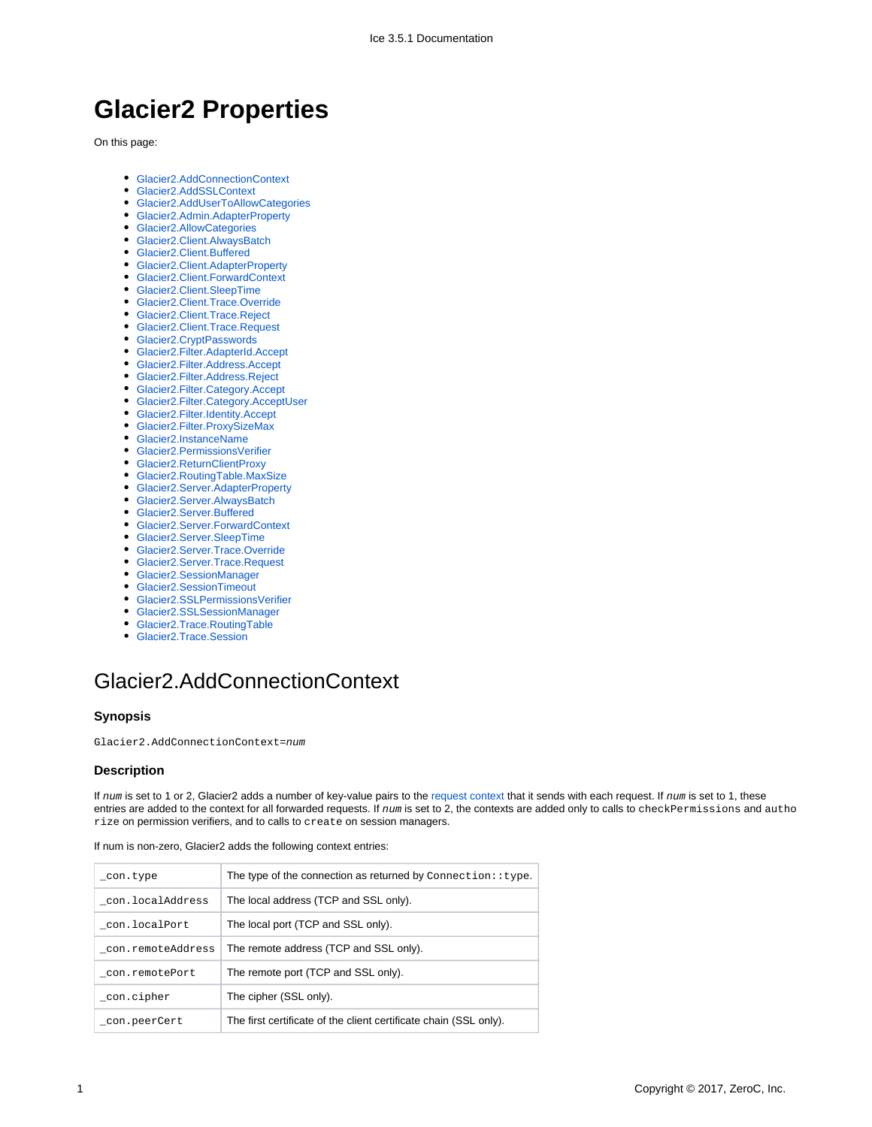# **Glacier2 Properties**

On this page:

- [Glacier2.AddConnectionContext](#page-0-0)
- [Glacier2.AddSSLContext](#page-1-0)
- [Glacier2.AddUserToAllowCategories](#page-1-1)
- [Glacier2.Admin.AdapterProperty](#page-1-2)
- [Glacier2.AllowCategories](#page-2-0)
- [Glacier2.Client.AlwaysBatch](#page-2-1)
- [Glacier2.Client.Buffered](#page-2-2)
- [Glacier2.Client.AdapterProperty](#page-2-3)
- [Glacier2.Client.ForwardContext](#page-2-4) [Glacier2.Client.SleepTime](#page-3-0)
- 
- [Glacier2.Client.Trace.Override](#page-3-1)
- [Glacier2.Client.Trace.Reject](#page-3-2) [Glacier2.Client.Trace.Request](#page-3-3)
- 
- [Glacier2.CryptPasswords](#page-3-4)
- [Glacier2.Filter.AdapterId.Accept](#page-4-0)
- [Glacier2.Filter.Address.Accept](#page-4-1)
- [Glacier2.Filter.Address.Reject](#page-4-2)
- [Glacier2.Filter.Category.Accept](#page-4-3)
- [Glacier2.Filter.Category.AcceptUser](#page-5-0)
- [Glacier2.Filter.Identity.Accept](#page-5-1)
- [Glacier2.Filter.ProxySizeMax](#page-5-2)
- [Glacier2.InstanceName](#page-5-3)
- [Glacier2.PermissionsVerifier](#page-5-4)
- [Glacier2.ReturnClientProxy](#page-6-0)
- [Glacier2.RoutingTable.MaxSize](#page-6-1)
- [Glacier2.Server.AdapterProperty](#page-6-2) [Glacier2.Server.AlwaysBatch](#page-7-0)
- [Glacier2.Server.Buffered](#page-7-1)
- [Glacier2.Server.ForwardContext](#page-7-2)
- [Glacier2.Server.SleepTime](#page-7-3)
- [Glacier2.Server.Trace.Override](#page-7-4)
- [Glacier2.Server.Trace.Request](#page-7-5)
- [Glacier2.SessionManager](#page-8-0)
- [Glacier2.SessionTimeout](#page-8-1)
- [Glacier2.SSLPermissionsVerifier](#page-8-2)
- [Glacier2.SSLSessionManager](#page-8-3)
- [Glacier2.Trace.RoutingTable](#page-9-0)
- [Glacier2.Trace.Session](#page-9-1)

# <span id="page-0-0"></span>Glacier2.AddConnectionContext

#### **Synopsis**

Glacier2.AddConnectionContext=num

#### **Description**

If num is set to 1 or 2, Glacier2 adds a number of key-value pairs to the [request context](https://doc.zeroc.com/display/Ice35/How+Glacier2+uses+Request+Contexts) that it sends with each request. If num is set to 1, these entries are added to the context for all forwarded requests. If  $num$  is set to 2, the contexts are added only to calls to checkPermissions and autho rize on permission verifiers, and to calls to create on session managers.

| con.type          | The type of the connection as returned by Connection: : type.     |
|-------------------|-------------------------------------------------------------------|
| con.localAddress  | The local address (TCP and SSL only).                             |
| con.localPort     | The local port (TCP and SSL only).                                |
| con.remoteAddress | The remote address (TCP and SSL only).                            |
| con.remotePort    | The remote port (TCP and SSL only).                               |
| con.cipher        | The cipher (SSL only).                                            |
| con.peerCert      | The first certificate of the client certificate chain (SSL only). |

If num is non-zero, Glacier2 adds the following context entries: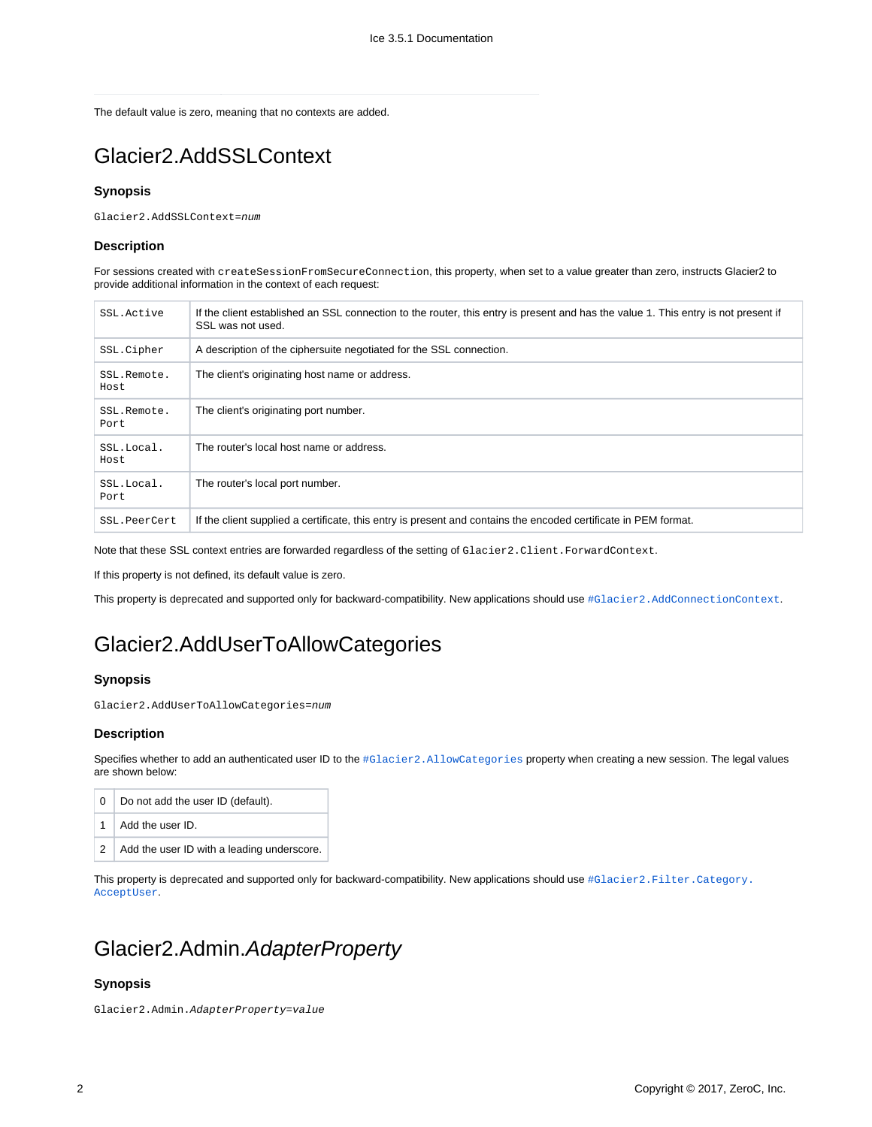The default value is zero, meaning that no contexts are added.

## <span id="page-1-0"></span>Glacier2.AddSSLContext

#### **Synopsis**

Glacier2.AddSSLContext=num

#### **Description**

For sessions created with createSessionFromSecureConnection, this property, when set to a value greater than zero, instructs Glacier2 to provide additional information in the context of each request:

| SSL Active          | If the client established an SSL connection to the router, this entry is present and has the value 1. This entry is not present if<br>SSL was not used. |
|---------------------|---------------------------------------------------------------------------------------------------------------------------------------------------------|
| SSL.Cipher          | A description of the ciphersuite negotiated for the SSL connection.                                                                                     |
| SSL.Remote.<br>Host | The client's originating host name or address.                                                                                                          |
| SSL.Remote.<br>Port | The client's originating port number.                                                                                                                   |
| SSL.Local.<br>Host  | The router's local host name or address.                                                                                                                |
| SSL.Local.<br>Port  | The router's local port number.                                                                                                                         |
| SSL.PeerCert        | If the client supplied a certificate, this entry is present and contains the encoded certificate in PEM format.                                         |

Note that these SSL context entries are forwarded regardless of the setting of Glacier2.Client.ForwardContext.

If this property is not defined, its default value is zero.

This property is deprecated and supported only for backward-compatibility. New applications should use #Glacier2. AddConnectionContext.

## <span id="page-1-1"></span>Glacier2.AddUserToAllowCategories

#### **Synopsis**

Glacier2.AddUserToAllowCategories=num

#### **Description**

Specifies whether to add an authenticated user ID to the #Glacier2. AllowCategories property when creating a new session. The legal values are shown below:

| 0 <sub>1</sub> | Do not add the user ID (default).              |
|----------------|------------------------------------------------|
|                | 1 Add the user ID.                             |
|                | $2$ Add the user ID with a leading underscore. |

This property is deprecated and supported only for backward-compatibility. New applications should use [#Glacier2.Filter.Category.](#page-5-0) [AcceptUser](#page-5-0).

## <span id="page-1-2"></span>Glacier2.Admin.AdapterProperty

### **Synopsis**

Glacier2.Admin.AdapterProperty=value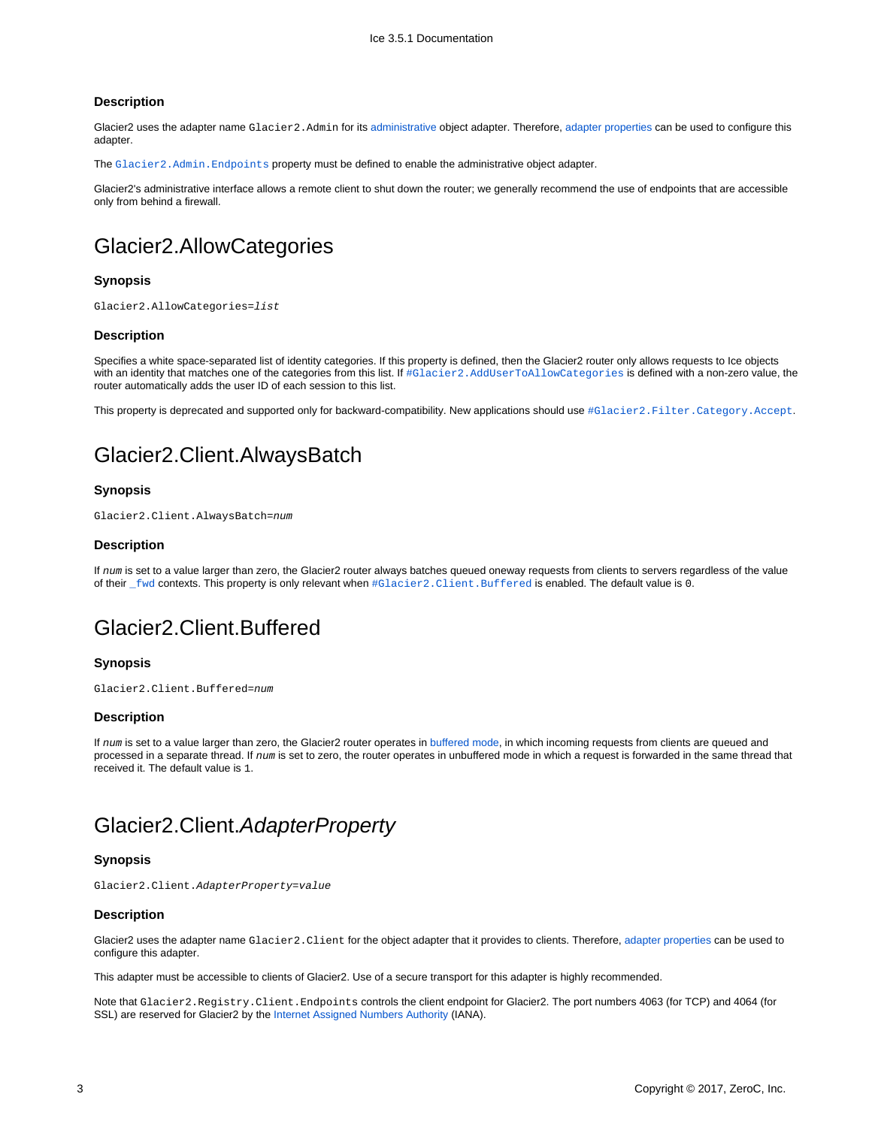#### **Description**

Glacier2 uses the adapter name Glacier2. Admin for its [administrative](https://doc.zeroc.com/display/Ice35/Securing+a+Glacier2+Router#SecuringaGlacier2Router-Glacier2AdministrativeInterface) object adapter. Therefore, [adapter properties](https://doc.zeroc.com/display/Ice35/Ice+Object+Adapter+Properties) can be used to configure this adapter.

The [Glacier2.Admin.Endpoints](https://doc.zeroc.com/display/Ice35/Ice+Object+Adapter+Properties#IceObjectAdapterProperties-adapter.Endpoints) property must be defined to enable the administrative object adapter.

Glacier2's administrative interface allows a remote client to shut down the router; we generally recommend the use of endpoints that are accessible only from behind a firewall.

### <span id="page-2-0"></span>Glacier2.AllowCategories

#### **Synopsis**

Glacier2.AllowCategories=list

#### **Description**

Specifies a white space-separated list of identity categories. If this property is defined, then the Glacier2 router only allows requests to Ice objects with an identity that matches one of the categories from this list. If  $\# \texttt{Glacier2}.$  AddUserToAllowCategories is defined with a non-zero value, the router automatically adds the user ID of each session to this list.

This property is deprecated and supported only for backward-compatibility. New applications should use [#Glacier2.Filter.Category.Accept](#page-4-3).

### <span id="page-2-1"></span>Glacier2.Client.AlwaysBatch

#### **Synopsis**

Glacier2.Client.AlwaysBatch=num

#### **Description**

If num is set to a value larger than zero, the Glacier2 router always batches queued oneway requests from clients to servers regardless of the value of their [\\_fwd](https://doc.zeroc.com/display/Ice35/How+Glacier2+uses+Request+Contexts) contexts. This property is only relevant when [#Glacier2.Client.Buffered](#page-2-2) is enabled. The default value is 0.

### <span id="page-2-2"></span>Glacier2.Client.Buffered

#### **Synopsis**

Glacier2.Client.Buffered=num

#### **Description**

If num is set to a value larger than zero, the Glacier2 router operates in [buffered mode,](https://doc.zeroc.com/display/Ice35/Glacier2+Request+Buffering) in which incoming requests from clients are queued and processed in a separate thread. If num is set to zero, the router operates in unbuffered mode in which a request is forwarded in the same thread that received it. The default value is 1.

### <span id="page-2-3"></span>Glacier2.Client.AdapterProperty

#### **Synopsis**

Glacier2.Client.AdapterProperty=value

### **Description**

Glacier2 uses the adapter name Glacier2. Client for the object adapter that it provides to clients. Therefore, [adapter properties](https://doc.zeroc.com/display/Ice35/Ice+Object+Adapter+Properties) can be used to configure this adapter.

This adapter must be accessible to clients of Glacier2. Use of a secure transport for this adapter is highly recommended.

<span id="page-2-4"></span>Note that Glacier2.Registry.Client.Endpoints controls the client endpoint for Glacier2. The port numbers 4063 (for TCP) and 4064 (for SSL) are reserved for Glacier2 by the [Internet Assigned Numbers Authority](http://www.iana.org/assignments/port-numbers) (IANA).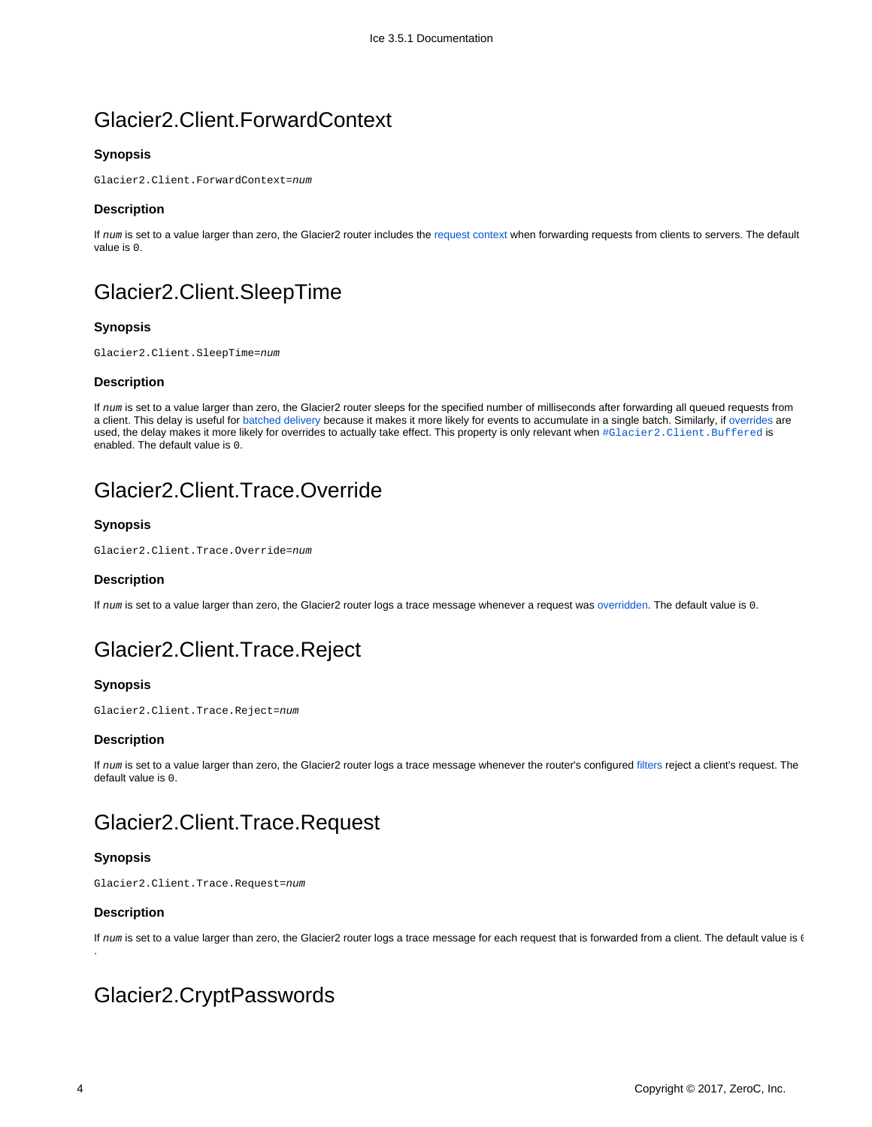## Glacier2.Client.ForwardContext

### **Synopsis**

Glacier2.Client.ForwardContext=num

#### **Description**

If num is set to a value larger than zero, the Glacier2 router includes the [request context](https://doc.zeroc.com/display/Ice35/How+Glacier2+uses+Request+Contexts#HowGlacier2usesRequestContexts-forwarding) when forwarding requests from clients to servers. The default value is 0.

## <span id="page-3-0"></span>Glacier2.Client.SleepTime

### **Synopsis**

Glacier2.Client.SleepTime=num

#### **Description**

If num is set to a value larger than zero, the Glacier2 router sleeps for the specified number of milliseconds after forwarding all queued requests from a client. This delay is useful for [batched delivery](https://doc.zeroc.com/display/Ice35/How+Glacier2+uses+Request+Contexts#HowGlacier2usesRequestContexts-batch) because it makes it more likely for events to accumulate in a single batch. Similarly, if [overrides](https://doc.zeroc.com/display/Ice35/How+Glacier2+uses+Request+Contexts#HowGlacier2usesRequestContexts-_ovrd) are used, the delay makes it more likely for overrides to actually take effect. This property is only relevant when  $\# \text{Clacier2}. \text{Client}. \text{Buffered is}$ enabled. The default value is 0.

## <span id="page-3-1"></span>Glacier2.Client.Trace.Override

### **Synopsis**

Glacier2.Client.Trace.Override=num

### **Description**

If num is set to a value larger than zero, the Glacier2 router logs a trace message whenever a request was [overridden](https://doc.zeroc.com/display/Ice35/How+Glacier2+uses+Request+Contexts#HowGlacier2usesRequestContexts-_ovrd). The default value is 0.

## <span id="page-3-2"></span>Glacier2.Client.Trace.Reject

### **Synopsis**

Glacier2.Client.Trace.Reject=num

#### **Description**

If num is set to a value larger than zero, the Glacier2 router logs a trace message whenever the router's configured [filters](https://doc.zeroc.com/display/Ice35/Securing+a+Glacier2+Router#SecuringaGlacier2Router-RequestFiltering) reject a client's request. The default value is 0.

## <span id="page-3-3"></span>Glacier2.Client.Trace.Request

### **Synopsis**

Glacier2.Client.Trace.Request=num

### **Description**

.

If num is set to a value larger than zero, the Glacier2 router logs a trace message for each request that is forwarded from a client. The default value is (

### <span id="page-3-4"></span>Glacier2.CryptPasswords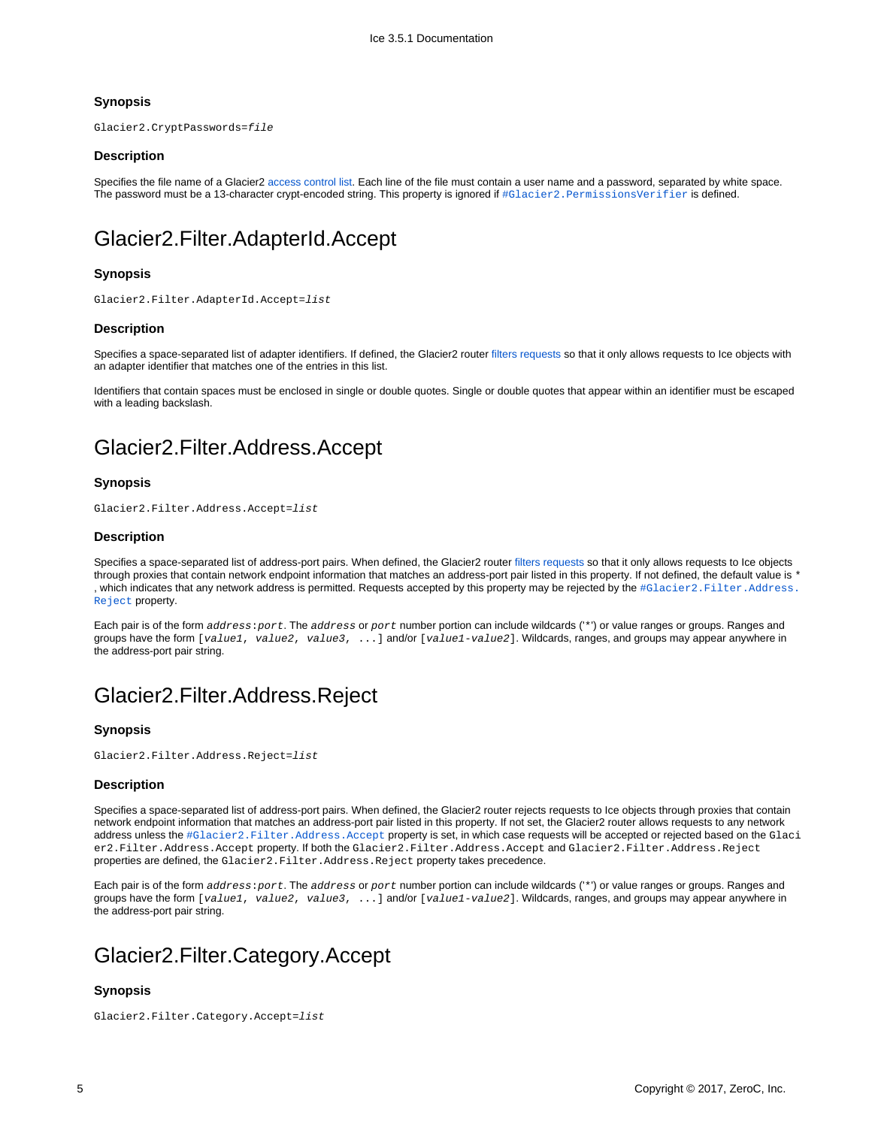### **Synopsis**

Glacier2.CryptPasswords=file

### **Description**

Specifies the file name of a Glacier2 [access control list](https://doc.zeroc.com/display/Ice35/Securing+a+Glacier2+Router#SecuringaGlacier2Router-Glacier2AccessControl). Each line of the file must contain a user name and a password, separated by white space. The password must be a 13-character crypt-encoded string. This property is ignored if #Glacier2. PermissionsVerifier is defined.

## <span id="page-4-0"></span>Glacier2.Filter.AdapterId.Accept

### **Synopsis**

Glacier2.Filter.AdapterId.Accept=list

#### **Description**

Specifies a space-separated list of adapter identifiers. If defined, the Glacier2 router [filters requests](https://doc.zeroc.com/display/Ice35/Securing+a+Glacier2+Router#SecuringaGlacier2Router-AdapterFilters) so that it only allows requests to Ice objects with an adapter identifier that matches one of the entries in this list.

Identifiers that contain spaces must be enclosed in single or double quotes. Single or double quotes that appear within an identifier must be escaped with a leading backslash.

## <span id="page-4-1"></span>Glacier2.Filter.Address.Accept

#### **Synopsis**

Glacier2.Filter.Address.Accept=list

#### **Description**

Specifies a space-separated list of address-port pairs. When defined, the Glacier2 router [filters requests](https://doc.zeroc.com/display/Ice35/Securing+a+Glacier2+Router#SecuringaGlacier2Router-AddressFilters) so that it only allows requests to Ice objects through proxies that contain network endpoint information that matches an address-port pair listed in this property. If not defined, the default value is \* , which indicates that any network address is permitted. Requests accepted by this property may be rejected by the [#Glacier2.Filter.Address.](#page-4-2) [Reject](#page-4-2) property

Each pair is of the form address: port. The address or port number portion can include wildcards ('\*') or value ranges or groups. Ranges and groups have the form [value1, value2, value3, ...] and/or [value1-value2]. Wildcards, ranges, and groups may appear anywhere in the address-port pair string.

### <span id="page-4-2"></span>Glacier2.Filter.Address.Reject

#### **Synopsis**

Glacier2.Filter.Address.Reject=list

#### **Description**

Specifies a space-separated list of address-port pairs. When defined, the Glacier2 router rejects requests to Ice objects through proxies that contain network endpoint information that matches an address-port pair listed in this property. If not set, the Glacier2 router allows requests to any network address unless the [#Glacier2.Filter.Address.Accept](#page-4-1) property is set, in which case requests will be accepted or rejected based on the Glaci er2.Filter.Address.Accept property. If both the Glacier2.Filter.Address.Accept and Glacier2.Filter.Address.Reject properties are defined, the Glacier2.Filter.Address.Reject property takes precedence.

Each pair is of the form address: port. The address or port number portion can include wildcards ('\*') or value ranges or groups. Ranges and groups have the form [value1, value2, value3, ...] and/or [value1-value2]. Wildcards, ranges, and groups may appear anywhere in the address-port pair string.

## <span id="page-4-3"></span>Glacier2.Filter.Category.Accept

### **Synopsis**

Glacier2.Filter.Category.Accept=list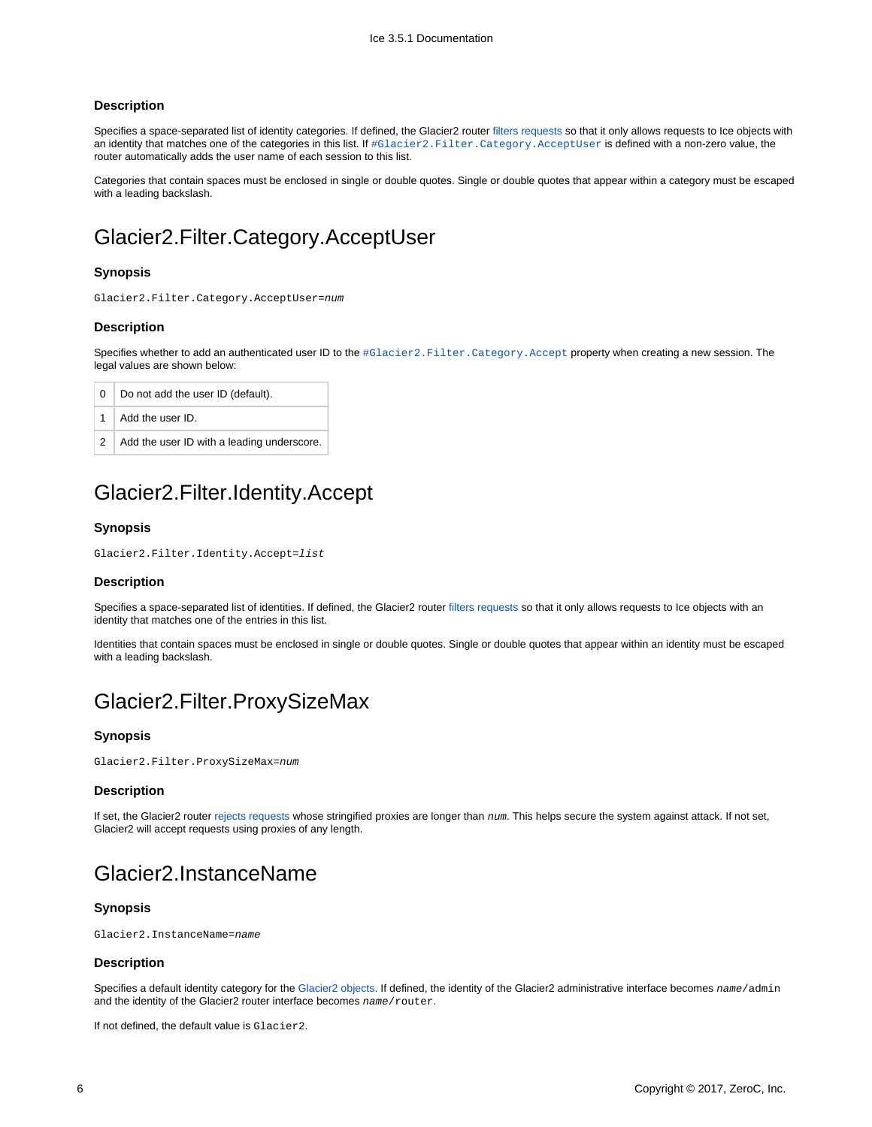#### **Description**

Specifies a space-separated list of identity categories. If defined, the Glacier2 router [filters requests](https://doc.zeroc.com/display/Ice35/Securing+a+Glacier2+Router#SecuringaGlacier2Router-CategoryFilters) so that it only allows requests to Ice objects with an identity that matches one of the categories in this list. If  $\#$ Glacier2. Filter.Category.AcceptUser is defined with a non-zero value, the router automatically adds the user name of each session to this list.

Categories that contain spaces must be enclosed in single or double quotes. Single or double quotes that appear within a category must be escaped with a leading backslash.

## <span id="page-5-0"></span>Glacier2.Filter.Category.AcceptUser

#### **Synopsis**

```
Glacier2.Filter.Category.AcceptUser=num
```
#### **Description**

Specifies whether to add an authenticated user ID to the [#Glacier2.Filter.Category.Accept](#page-4-3) property when creating a new session. The legal values are shown below:

| $\begin{array}{c} \circ \\ \circ \end{array}$ | Do not add the user ID (default).            |
|-----------------------------------------------|----------------------------------------------|
|                                               | $\vert$ 1 $\vert$ Add the user ID.           |
|                                               | 2 Add the user ID with a leading underscore. |

### <span id="page-5-1"></span>Glacier2.Filter.Identity.Accept

#### **Synopsis**

```
Glacier2.Filter.Identity.Accept=list
```
#### **Description**

Specifies a space-separated list of identities. If defined, the Glacier2 router [filters requests](https://doc.zeroc.com/display/Ice35/Securing+a+Glacier2+Router#SecuringaGlacier2Router-IdentityFilters) so that it only allows requests to Ice objects with an identity that matches one of the entries in this list.

Identities that contain spaces must be enclosed in single or double quotes. Single or double quotes that appear within an identity must be escaped with a leading backslash.

### <span id="page-5-2"></span>Glacier2.Filter.ProxySizeMax

#### **Synopsis**

Glacier2.Filter.ProxySizeMax=num

#### **Description**

If set, the Glacier2 router [rejects requests](https://doc.zeroc.com/display/Ice35/Securing+a+Glacier2+Router#SecuringaGlacier2Router-ProxyFilters) whose stringified proxies are longer than num. This helps secure the system against attack. If not set, Glacier2 will accept requests using proxies of any length.

### <span id="page-5-3"></span>Glacier2.InstanceName

#### **Synopsis**

Glacier2.InstanceName=name

#### **Description**

Specifies a default identity category for the [Glacier2 objects](https://doc.zeroc.com/display/Ice35/Getting+Started+with+Glacier2#GettingStartedwithGlacier2-Glacier2ObjectIdentities). If defined, the identity of the Glacier2 administrative interface becomes name/admin and the identity of the Glacier2 router interface becomes name/router.

<span id="page-5-4"></span>If not defined, the default value is Glacier2.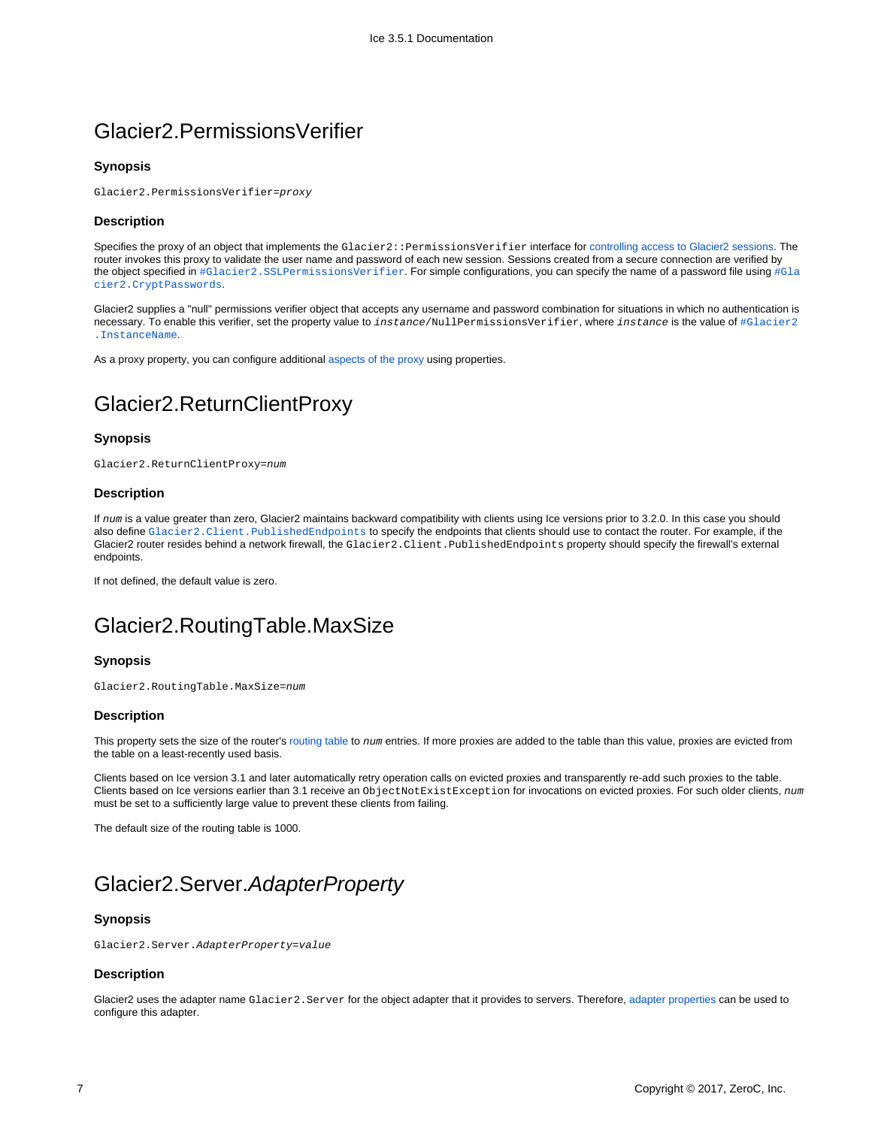### Glacier2.PermissionsVerifier

#### **Synopsis**

Glacier2.PermissionsVerifier=proxy

#### **Description**

Specifies the proxy of an object that implements the Glacier2::PermissionsVerifier interface for [controlling access to Glacier2 sessions](https://doc.zeroc.com/display/Ice35/Securing+a+Glacier2+Router#SecuringaGlacier2Router-Glacier2AccessControl). The router invokes this proxy to validate the user name and password of each new session. Sessions created from a secure connection are verified by the object specified in  $\# \texttt{Glactive2.SS LPermissionsVerifier.}$  For simple configurations, you can specify the name of a password file using  $\# \texttt{Glactive}$ [cier2.CryptPasswords](#page-3-4).

Glacier2 supplies a "null" permissions verifier object that accepts any username and password combination for situations in which no authentication is necessary. To enable this verifier, set the property value to instance/NullPermissionsVerifier, where instance is the value of [#Glacier2](#page-5-3) [.InstanceName](#page-5-3).

As a proxy property, you can configure additional [aspects of the proxy](https://doc.zeroc.com/display/Ice35/Ice+Proxy+Properties) using properties.

## <span id="page-6-0"></span>Glacier2.ReturnClientProxy

#### **Synopsis**

Glacier2.ReturnClientProxy=num

#### **Description**

If num is a value greater than zero, Glacier2 maintains backward compatibility with clients using Ice versions prior to 3.2.0. In this case you should also define Glacier2. Client. PublishedEndpoints to specify the endpoints that clients should use to contact the router. For example, if the Glacier2 router resides behind a network firewall, the Glacier2.Client.PublishedEndpoints property should specify the firewall's external endpoints.

If not defined, the default value is zero.

### <span id="page-6-1"></span>Glacier2.RoutingTable.MaxSize

#### **Synopsis**

Glacier2.RoutingTable.MaxSize=num

#### **Description**

This property sets the size of the router's [routing table](https://doc.zeroc.com/display/Ice35/Securing+a+Glacier2+Router#SecuringaGlacier2Router-ProxyFilters) to num entries. If more proxies are added to the table than this value, proxies are evicted from the table on a least-recently used basis.

Clients based on Ice version 3.1 and later automatically retry operation calls on evicted proxies and transparently re-add such proxies to the table. Clients based on Ice versions earlier than 3.1 receive an ObjectNotExistException for invocations on evicted proxies. For such older clients, num must be set to a sufficiently large value to prevent these clients from failing.

The default size of the routing table is 1000.

## <span id="page-6-2"></span>Glacier2.Server.AdapterProperty

#### **Synopsis**

Glacier2.Server.AdapterProperty=value

#### **Description**

Glacier2 uses the adapter name Glacier2.Server for the object adapter that it provides to servers. Therefore, [adapter properties](https://doc.zeroc.com/display/Ice35/Ice+Object+Adapter+Properties) can be used to configure this adapter.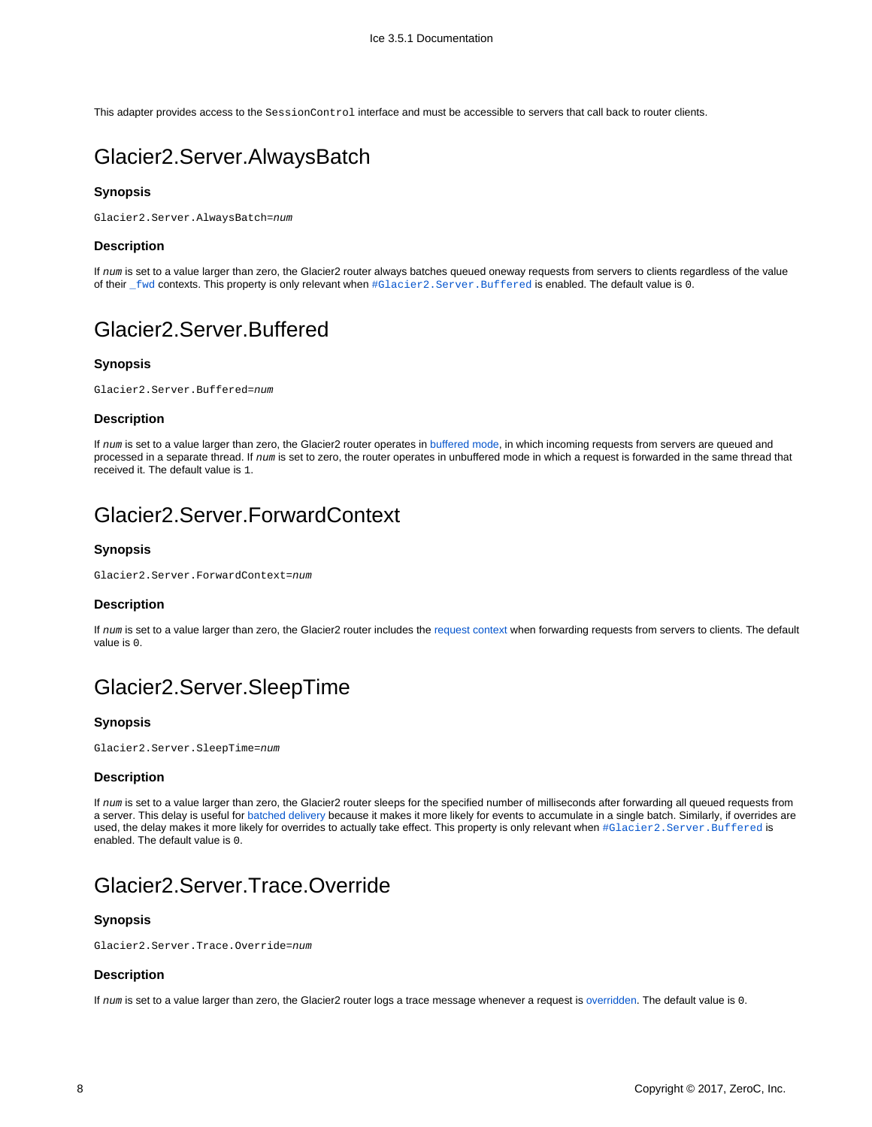This adapter provides access to the SessionControl interface and must be accessible to servers that call back to router clients.

### <span id="page-7-0"></span>Glacier2.Server.AlwaysBatch

### **Synopsis**

Glacier2.Server.AlwaysBatch=num

#### **Description**

If num is set to a value larger than zero, the Glacier2 router always batches queued oneway requests from servers to clients regardless of the value of their [\\_fwd](https://doc.zeroc.com/display/Ice35/How+Glacier2+uses+Request+Contexts#HowGlacier2usesRequestContexts-_fwd) contexts. This property is only relevant when  $\#G$ lacier2. Server. Buffered is enabled. The default value is 0.

# <span id="page-7-1"></span>Glacier2.Server.Buffered

#### **Synopsis**

Glacier2.Server.Buffered=num

#### **Description**

If num is set to a value larger than zero, the Glacier2 router operates in [buffered mode,](https://doc.zeroc.com/display/Ice35/Glacier2+Request+Buffering) in which incoming requests from servers are queued and processed in a separate thread. If num is set to zero, the router operates in unbuffered mode in which a request is forwarded in the same thread that received it. The default value is 1.

## <span id="page-7-2"></span>Glacier2.Server.ForwardContext

### **Synopsis**

Glacier2.Server.ForwardContext=num

#### **Description**

If num is set to a value larger than zero, the Glacier2 router includes the [request context](https://doc.zeroc.com/display/Ice35/How+Glacier2+uses+Request+Contexts#HowGlacier2usesRequestContexts-forwarding) when forwarding requests from servers to clients. The default value is 0.

## <span id="page-7-3"></span>Glacier2.Server.SleepTime

#### **Synopsis**

Glacier2.Server.SleepTime=num

#### **Description**

If num is set to a value larger than zero, the Glacier2 router sleeps for the specified number of milliseconds after forwarding all queued requests from a server. This delay is useful for [batched delivery](https://doc.zeroc.com/display/Ice35/How+Glacier2+uses+Request+Contexts#HowGlacier2usesRequestContexts-batch) because it makes it more likely for events to accumulate in a single batch. Similarly, if overrides are used, the delay makes it more likely for overrides to actually take effect. This property is only relevant when #Glacier2. Server. Buffered is enabled. The default value is 0.

### <span id="page-7-4"></span>Glacier2.Server.Trace.Override

#### **Synopsis**

Glacier2.Server.Trace.Override=num

#### **Description**

<span id="page-7-5"></span>If num is set to a value larger than zero, the Glacier2 router logs a trace message whenever a request is [overridden](https://doc.zeroc.com/display/Ice35/How+Glacier2+uses+Request+Contexts#HowGlacier2usesRequestContexts-_ovrd). The default value is 0.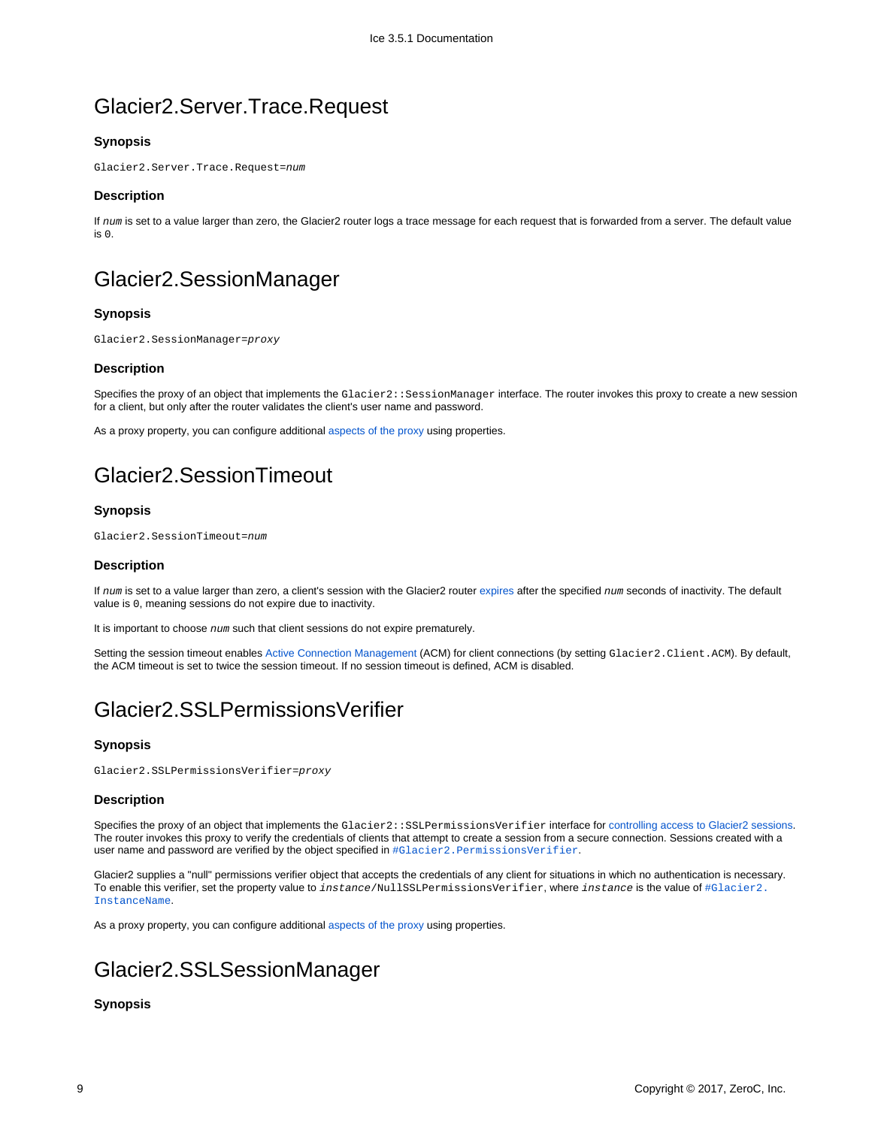## Glacier2.Server.Trace.Request

### **Synopsis**

Glacier2.Server.Trace.Request=num

#### **Description**

If num is set to a value larger than zero, the Glacier2 router logs a trace message for each request that is forwarded from a server. The default value is 0.

## <span id="page-8-0"></span>Glacier2.SessionManager

### **Synopsis**

Glacier2.SessionManager=proxy

#### **Description**

Specifies the proxy of an object that implements the Glacier2::SessionManager interface. The router invokes this proxy to create a new session for a client, but only after the router validates the client's user name and password.

As a proxy property, you can configure additional [aspects of the proxy](https://doc.zeroc.com/display/Ice35/Ice+Proxy+Properties) using properties.

# <span id="page-8-1"></span>Glacier2.SessionTimeout

### **Synopsis**

Glacier2.SessionTimeout=num

#### **Description**

If num is set to a value larger than zero, a client's session with the Glacier2 router [expires](https://doc.zeroc.com/display/Ice35/Glacier2+Session+Management#Glacier2SessionManagement-session) after the specified num seconds of inactivity. The default value is 0, meaning sessions do not expire due to inactivity.

It is important to choose num such that client sessions do not expire prematurely.

Setting the session timeout enables [Active Connection Management](https://doc.zeroc.com/display/Ice35/Active+Connection+Management) (ACM) for client connections (by setting Glacier2.Client.ACM). By default, the ACM timeout is set to twice the session timeout. If no session timeout is defined, ACM is disabled.

## <span id="page-8-2"></span>Glacier2.SSLPermissionsVerifier

### **Synopsis**

Glacier2.SSLPermissionsVerifier=proxy

#### **Description**

Specifies the proxy of an object that implements the Glacier2::SSLPermissionsVerifier interface for [controlling access to Glacier2 sessions.](https://doc.zeroc.com/display/Ice35/Securing+a+Glacier2+Router#SecuringaGlacier2Router-Glacier2AccessControl) The router invokes this proxy to verify the credentials of clients that attempt to create a session from a secure connection. Sessions created with a user name and password are verified by the object specified in #Glacier2. PermissionsVerifier.

Glacier2 supplies a "null" permissions verifier object that accepts the credentials of any client for situations in which no authentication is necessary. To enable this verifier, set the property value to instance/NullSSLPermissionsVerifier, where instance is the value of [#Glacier2.](#page-5-3) [InstanceName](#page-5-3).

As a proxy property, you can configure additional [aspects of the proxy](https://doc.zeroc.com/display/Ice35/Ice+Proxy+Properties) using properties.

# <span id="page-8-3"></span>Glacier2.SSLSessionManager

### **Synopsis**